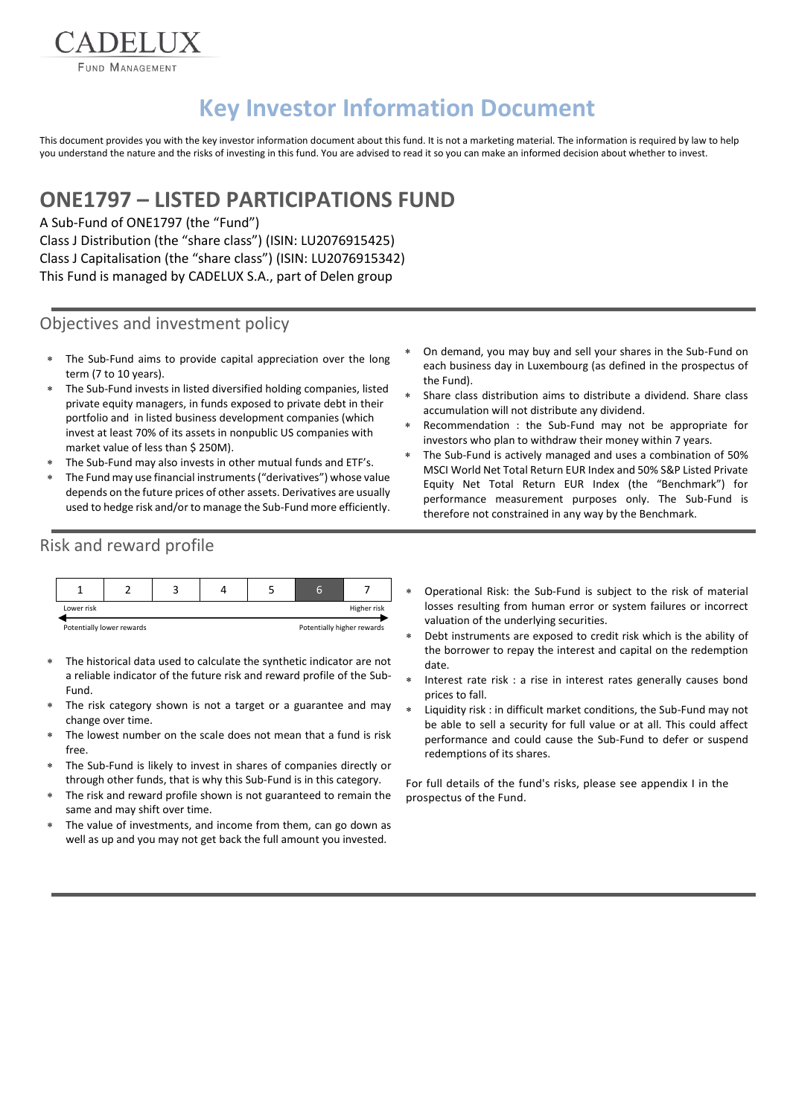FUND MANAGEMENT

**EADELIJX** 

# **Key Investor Information Document**

This document provides you with the key investor information document about this fund. It is not a marketing material. The information is required by law to help you understand the nature and the risks of investing in this fund. You are advised to read it so you can make an informed decision about whether to invest.

# **ONE1797 – LISTED PARTICIPATIONS FUND**

A Sub-Fund of ONE1797 (the "Fund") Class J Distribution (the "share class") (ISIN: LU2076915425) Class J Capitalisation (the "share class") (ISIN: LU2076915342) This Fund is managed by CADELUX S.A., part of Delen group

#### Objectives and investment policy

- The Sub-Fund aims to provide capital appreciation over the long term (7 to 10 years).
- The Sub-Fund invests in listed diversified holding companies, listed private equity managers, in funds exposed to private debt in their portfolio and in listed business development companies (which invest at least 70% of its assets in nonpublic US companies with market value of less than \$ 250M).
- The Sub-Fund may also invests in other mutual funds and ETF's.
- The Fund may use financial instruments ("derivatives") whose value depends on the future prices of other assets. Derivatives are usually used to hedge risk and/or to manage the Sub-Fund more efficiently.
- On demand, you may buy and sell your shares in the Sub-Fund on each business day in Luxembourg (as defined in the prospectus of the Fund).
- Share class distribution aims to distribute a dividend. Share class accumulation will not distribute any dividend.
- Recommendation : the Sub-Fund may not be appropriate for investors who plan to withdraw their money within 7 years.
- The Sub-Fund is actively managed and uses a combination of 50% MSCI World Net Total Return EUR Index and 50% S&P Listed Private Equity Net Total Return EUR Index (the "Benchmark") for performance measurement purposes only. The Sub-Fund is therefore not constrained in any way by the Benchmark.

### Risk and reward profile

|                           |  |  |  |                            | a |             |
|---------------------------|--|--|--|----------------------------|---|-------------|
| Lower risk                |  |  |  |                            |   | Higher risk |
| Potentially lower rewards |  |  |  | Potentially higher rewards |   |             |

- The historical data used to calculate the synthetic indicator are not a reliable indicator of the future risk and reward profile of the Sub-Fund.
- The risk category shown is not a target or a guarantee and may change over time.
- The lowest number on the scale does not mean that a fund is risk free.
- The Sub-Fund is likely to invest in shares of companies directly or through other funds, that is why this Sub-Fund is in this category.
- The risk and reward profile shown is not guaranteed to remain the same and may shift over time.
- The value of investments, and income from them, can go down as well as up and you may not get back the full amount you invested.
- Operational Risk: the Sub-Fund is subject to the risk of material losses resulting from human error or system failures or incorrect valuation of the underlying securities.
- Debt instruments are exposed to credit risk which is the ability of the borrower to repay the interest and capital on the redemption date.
- Interest rate risk : a rise in interest rates generally causes bond prices to fall.
- Liquidity risk : in difficult market conditions, the Sub-Fund may not be able to sell a security for full value or at all. This could affect performance and could cause the Sub-Fund to defer or suspend redemptions of its shares.

For full details of the fund's risks, please see appendix I in the prospectus of the Fund.